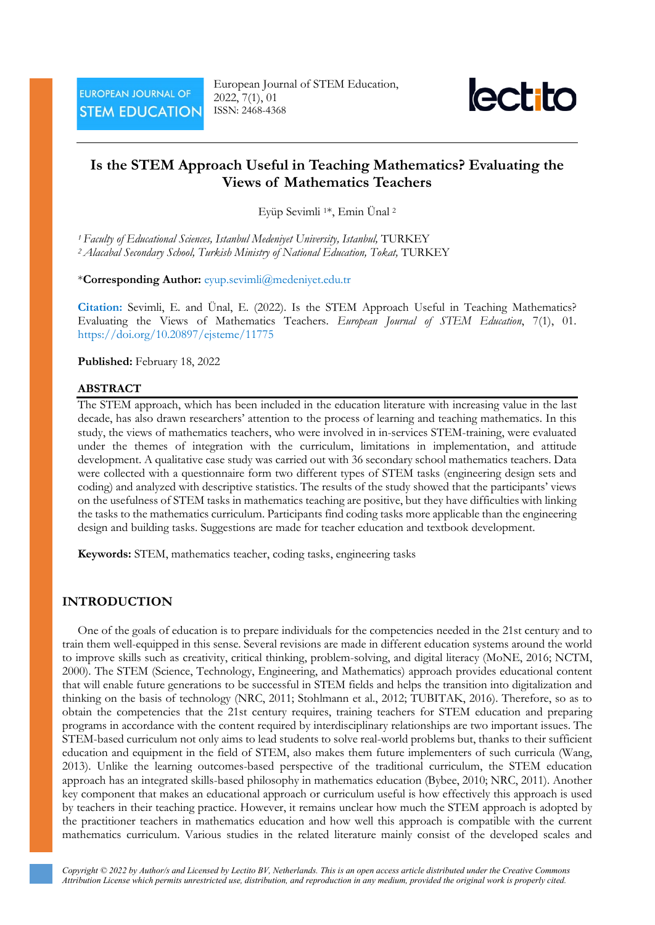

# **Is the STEM Approach Useful in Teaching Mathematics? Evaluating the Views of Mathematics Teachers**

Eyüp Sevimli 1\*, Emin Ünal <sup>2</sup>

*<sup>1</sup> Faculty of Educational Sciences, Istanbul Medeniyet University, Istanbul,* TURKEY *<sup>2</sup> Alacabal Secondary School, Turkish Ministry of National Education, Tokat,* TURKEY

#### \***Corresponding Author:** [eyup.sevimli@medeniyet.edu.tr](mailto:eyup.sevimli@medeniyet.edu.tr)

**Citation:** Sevimli, E. and Ünal, E. (2022). Is the STEM Approach Useful in Teaching Mathematics? Evaluating the Views of Mathematics Teachers. *European Journal of STEM Education*, 7(1), 01. <https://doi.org/10.20897/ejsteme/11775>

#### **Published:** February 18, 2022

#### **ABSTRACT**

The STEM approach, which has been included in the education literature with increasing value in the last decade, has also drawn researchers' attention to the process of learning and teaching mathematics. In this study, the views of mathematics teachers, who were involved in in-services STEM-training, were evaluated under the themes of integration with the curriculum, limitations in implementation, and attitude development. A qualitative case study was carried out with 36 secondary school mathematics teachers. Data were collected with a questionnaire form two different types of STEM tasks (engineering design sets and coding) and analyzed with descriptive statistics. The results of the study showed that the participants' views on the usefulness of STEM tasks in mathematics teaching are positive, but they have difficulties with linking the tasks to the mathematics curriculum. Participants find coding tasks more applicable than the engineering design and building tasks. Suggestions are made for teacher education and textbook development.

**Keywords:** STEM, mathematics teacher, coding tasks, engineering tasks

#### **INTRODUCTION**

One of the goals of education is to prepare individuals for the competencies needed in the 21st century and to train them well-equipped in this sense. Several revisions are made in different education systems around the world to improve skills such as creativity, critical thinking, problem-solving, and digital literacy (MoNE, 2016; NCTM, 2000). The STEM (Science, Technology, Engineering, and Mathematics) approach provides educational content that will enable future generations to be successful in STEM fields and helps the transition into digitalization and thinking on the basis of technology (NRC, 2011; Stohlmann et al., 2012; TUBITAK, 2016). Therefore, so as to obtain the competencies that the 21st century requires, training teachers for STEM education and preparing programs in accordance with the content required by interdisciplinary relationships are two important issues. The STEM-based curriculum not only aims to lead students to solve real-world problems but, thanks to their sufficient education and equipment in the field of STEM, also makes them future implementers of such curricula (Wang, 2013). Unlike the learning outcomes-based perspective of the traditional curriculum, the STEM education approach has an integrated skills-based philosophy in mathematics education (Bybee, 2010; NRC, 2011). Another key component that makes an educational approach or curriculum useful is how effectively this approach is used by teachers in their teaching practice. However, it remains unclear how much the STEM approach is adopted by the practitioner teachers in mathematics education and how well this approach is compatible with the current mathematics curriculum. Various studies in the related literature mainly consist of the developed scales and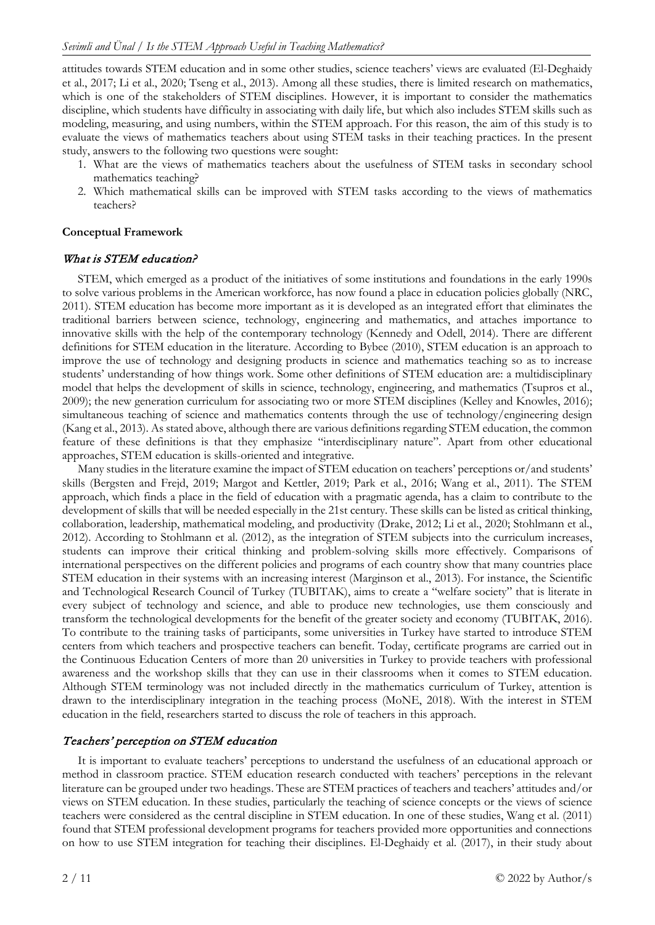attitudes towards STEM education and in some other studies, science teachers' views are evaluated (El-Deghaidy et al., 2017; Li et al., 2020; Tseng et al., 2013). Among all these studies, there is limited research on mathematics, which is one of the stakeholders of STEM disciplines. However, it is important to consider the mathematics discipline, which students have difficulty in associating with daily life, but which also includes STEM skills such as modeling, measuring, and using numbers, within the STEM approach. For this reason, the aim of this study is to evaluate the views of mathematics teachers about using STEM tasks in their teaching practices. In the present study, answers to the following two questions were sought:

- 1. What are the views of mathematics teachers about the usefulness of STEM tasks in secondary school mathematics teaching?
- 2. Which mathematical skills can be improved with STEM tasks according to the views of mathematics teachers?

## **Conceptual Framework**

#### What is STEM education?

STEM, which emerged as a product of the initiatives of some institutions and foundations in the early 1990s to solve various problems in the American workforce, has now found a place in education policies globally (NRC, 2011). STEM education has become more important as it is developed as an integrated effort that eliminates the traditional barriers between science, technology, engineering and mathematics, and attaches importance to innovative skills with the help of the contemporary technology (Kennedy and Odell, 2014). There are different definitions for STEM education in the literature. According to Bybee (2010), STEM education is an approach to improve the use of technology and designing products in science and mathematics teaching so as to increase students' understanding of how things work. Some other definitions of STEM education are: a multidisciplinary model that helps the development of skills in science, technology, engineering, and mathematics (Tsupros et al., 2009); the new generation curriculum for associating two or more STEM disciplines (Kelley and Knowles, 2016); simultaneous teaching of science and mathematics contents through the use of technology/engineering design (Kang et al., 2013). As stated above, although there are various definitions regarding STEM education, the common feature of these definitions is that they emphasize "interdisciplinary nature". Apart from other educational approaches, STEM education is skills-oriented and integrative.

Many studies in the literature examine the impact of STEM education on teachers' perceptions or/and students' skills (Bergsten and Frejd, 2019; Margot and Kettler, 2019; Park et al., 2016; Wang et al., 2011). The STEM approach, which finds a place in the field of education with a pragmatic agenda, has a claim to contribute to the development of skills that will be needed especially in the 21st century. These skills can be listed as critical thinking, collaboration, leadership, mathematical modeling, and productivity (Drake, 2012; Li et al., 2020; Stohlmann et al., 2012). According to Stohlmann et al. (2012), as the integration of STEM subjects into the curriculum increases, students can improve their critical thinking and problem-solving skills more effectively. Comparisons of international perspectives on the different policies and programs of each country show that many countries place STEM education in their systems with an increasing interest (Marginson et al., 2013). For instance, the Scientific and Technological Research Council of Turkey (TUBITAK), aims to create a "welfare society" that is literate in every subject of technology and science, and able to produce new technologies, use them consciously and transform the technological developments for the benefit of the greater society and economy (TUBITAK, 2016). To contribute to the training tasks of participants, some universities in Turkey have started to introduce STEM centers from which teachers and prospective teachers can benefit. Today, certificate programs are carried out in the Continuous Education Centers of more than 20 universities in Turkey to provide teachers with professional awareness and the workshop skills that they can use in their classrooms when it comes to STEM education. Although STEM terminology was not included directly in the mathematics curriculum of Turkey, attention is drawn to the interdisciplinary integration in the teaching process (MoNE, 2018). With the interest in STEM education in the field, researchers started to discuss the role of teachers in this approach.

## Teachers' perception on STEM education

It is important to evaluate teachers' perceptions to understand the usefulness of an educational approach or method in classroom practice. STEM education research conducted with teachers' perceptions in the relevant literature can be grouped under two headings. These are STEM practices of teachers and teachers' attitudes and/or views on STEM education. In these studies, particularly the teaching of science concepts or the views of science teachers were considered as the central discipline in STEM education. In one of these studies, Wang et al. (2011) found that STEM professional development programs for teachers provided more opportunities and connections on how to use STEM integration for teaching their disciplines. El-Deghaidy et al. (2017), in their study about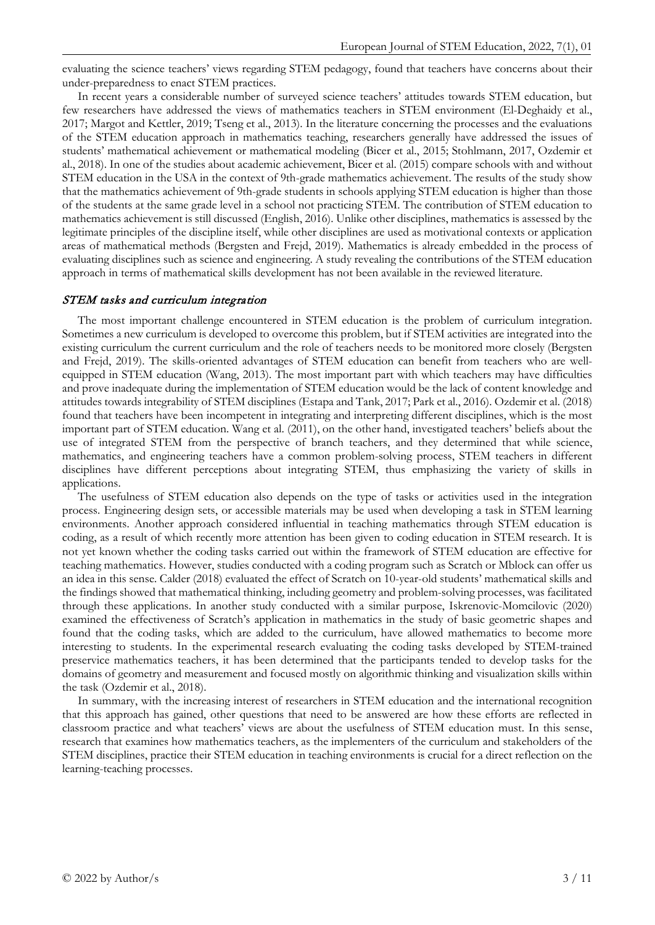evaluating the science teachers' views regarding STEM pedagogy, found that teachers have concerns about their under-preparedness to enact STEM practices.

In recent years a considerable number of surveyed science teachers' attitudes towards STEM education, but few researchers have addressed the views of mathematics teachers in STEM environment (El-Deghaidy et al., 2017; Margot and Kettler, 2019; Tseng et al., 2013). In the literature concerning the processes and the evaluations of the STEM education approach in mathematics teaching, researchers generally have addressed the issues of students' mathematical achievement or mathematical modeling (Bicer et al., 2015; Stohlmann, 2017, Ozdemir et al., 2018). In one of the studies about academic achievement, Bicer et al. (2015) compare schools with and without STEM education in the USA in the context of 9th-grade mathematics achievement. The results of the study show that the mathematics achievement of 9th-grade students in schools applying STEM education is higher than those of the students at the same grade level in a school not practicing STEM. The contribution of STEM education to mathematics achievement is still discussed (English, 2016). Unlike other disciplines, mathematics is assessed by the legitimate principles of the discipline itself, while other disciplines are used as motivational contexts or application areas of mathematical methods (Bergsten and Frejd, 2019). Mathematics is already embedded in the process of evaluating disciplines such as science and engineering. A study revealing the contributions of the STEM education approach in terms of mathematical skills development has not been available in the reviewed literature.

#### STEM tasks and curriculum integration

The most important challenge encountered in STEM education is the problem of curriculum integration. Sometimes a new curriculum is developed to overcome this problem, but if STEM activities are integrated into the existing curriculum the current curriculum and the role of teachers needs to be monitored more closely (Bergsten and Frejd, 2019). The skills-oriented advantages of STEM education can benefit from teachers who are wellequipped in STEM education (Wang, 2013). The most important part with which teachers may have difficulties and prove inadequate during the implementation of STEM education would be the lack of content knowledge and attitudes towards integrability of STEM disciplines (Estapa and Tank, 2017; Park et al., 2016). Ozdemir et al. (2018) found that teachers have been incompetent in integrating and interpreting different disciplines, which is the most important part of STEM education. Wang et al. (2011), on the other hand, investigated teachers' beliefs about the use of integrated STEM from the perspective of branch teachers, and they determined that while science, mathematics, and engineering teachers have a common problem-solving process, STEM teachers in different disciplines have different perceptions about integrating STEM, thus emphasizing the variety of skills in applications.

The usefulness of STEM education also depends on the type of tasks or activities used in the integration process. Engineering design sets, or accessible materials may be used when developing a task in STEM learning environments. Another approach considered influential in teaching mathematics through STEM education is coding, as a result of which recently more attention has been given to coding education in STEM research. It is not yet known whether the coding tasks carried out within the framework of STEM education are effective for teaching mathematics. However, studies conducted with a coding program such as Scratch or Mblock can offer us an idea in this sense. Calder (2018) evaluated the effect of Scratch on 10-year-old students' mathematical skills and the findings showed that mathematical thinking, including geometry and problem-solving processes, was facilitated through these applications. In another study conducted with a similar purpose, Iskrenovic-Momcilovic (2020) examined the effectiveness of Scratch's application in mathematics in the study of basic geometric shapes and found that the coding tasks, which are added to the curriculum, have allowed mathematics to become more interesting to students. In the experimental research evaluating the coding tasks developed by STEM-trained preservice mathematics teachers, it has been determined that the participants tended to develop tasks for the domains of geometry and measurement and focused mostly on algorithmic thinking and visualization skills within the task (Ozdemir et al., 2018).

In summary, with the increasing interest of researchers in STEM education and the international recognition that this approach has gained, other questions that need to be answered are how these efforts are reflected in classroom practice and what teachers' views are about the usefulness of STEM education must. In this sense, research that examines how mathematics teachers, as the implementers of the curriculum and stakeholders of the STEM disciplines, practice their STEM education in teaching environments is crucial for a direct reflection on the learning-teaching processes.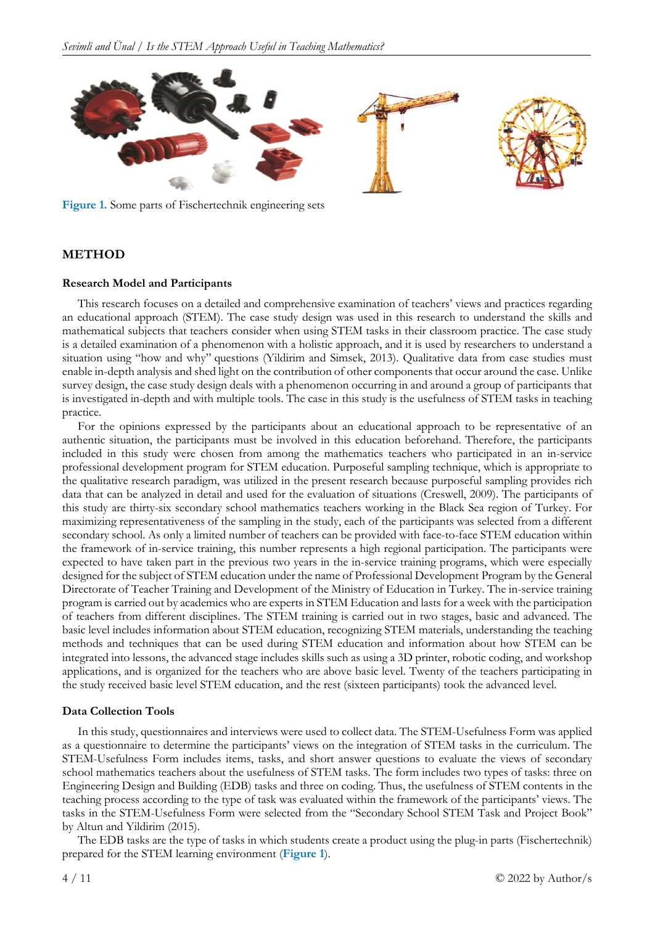

**Figure 1.** Some parts of Fischertechnik engineering sets

## **METHOD**

#### **Research Model and Participants**

This research focuses on a detailed and comprehensive examination of teachers' views and practices regarding an educational approach (STEM). The case study design was used in this research to understand the skills and mathematical subjects that teachers consider when using STEM tasks in their classroom practice. The case study is a detailed examination of a phenomenon with a holistic approach, and it is used by researchers to understand a situation using "how and why" questions (Yildirim and Simsek, 2013). Qualitative data from case studies must enable in-depth analysis and shed light on the contribution of other components that occur around the case. Unlike survey design, the case study design deals with a phenomenon occurring in and around a group of participants that is investigated in-depth and with multiple tools. The case in this study is the usefulness of STEM tasks in teaching practice.

For the opinions expressed by the participants about an educational approach to be representative of an authentic situation, the participants must be involved in this education beforehand. Therefore, the participants included in this study were chosen from among the mathematics teachers who participated in an in-service professional development program for STEM education. Purposeful sampling technique, which is appropriate to the qualitative research paradigm, was utilized in the present research because purposeful sampling provides rich data that can be analyzed in detail and used for the evaluation of situations (Creswell, 2009). The participants of this study are thirty-six secondary school mathematics teachers working in the Black Sea region of Turkey. For maximizing representativeness of the sampling in the study, each of the participants was selected from a different secondary school. As only a limited number of teachers can be provided with face-to-face STEM education within the framework of in-service training, this number represents a high regional participation. The participants were expected to have taken part in the previous two years in the in-service training programs, which were especially designed for the subject of STEM education under the name of Professional Development Program by the General Directorate of Teacher Training and Development of the Ministry of Education in Turkey. The in-service training program is carried out by academics who are experts in STEM Education and lasts for a week with the participation of teachers from different disciplines. The STEM training is carried out in two stages, basic and advanced. The basic level includes information about STEM education, recognizing STEM materials, understanding the teaching methods and techniques that can be used during STEM education and information about how STEM can be integrated into lessons, the advanced stage includes skills such as using a 3D printer, robotic coding, and workshop applications, and is organized for the teachers who are above basic level. Twenty of the teachers participating in the study received basic level STEM education, and the rest (sixteen participants) took the advanced level.

#### **Data Collection Tools**

In this study, questionnaires and interviews were used to collect data. The STEM-Usefulness Form was applied as a questionnaire to determine the participants' views on the integration of STEM tasks in the curriculum. The STEM-Usefulness Form includes items, tasks, and short answer questions to evaluate the views of secondary school mathematics teachers about the usefulness of STEM tasks. The form includes two types of tasks: three on Engineering Design and Building (EDB) tasks and three on coding. Thus, the usefulness of STEM contents in the teaching process according to the type of task was evaluated within the framework of the participants' views. The tasks in the STEM-Usefulness Form were selected from the "Secondary School STEM Task and Project Book" by Altun and Yildirim (2015).

The EDB tasks are the type of tasks in which students create a product using the plug-in parts (Fischertechnik) prepared for the STEM learning environment (**Figure 1**).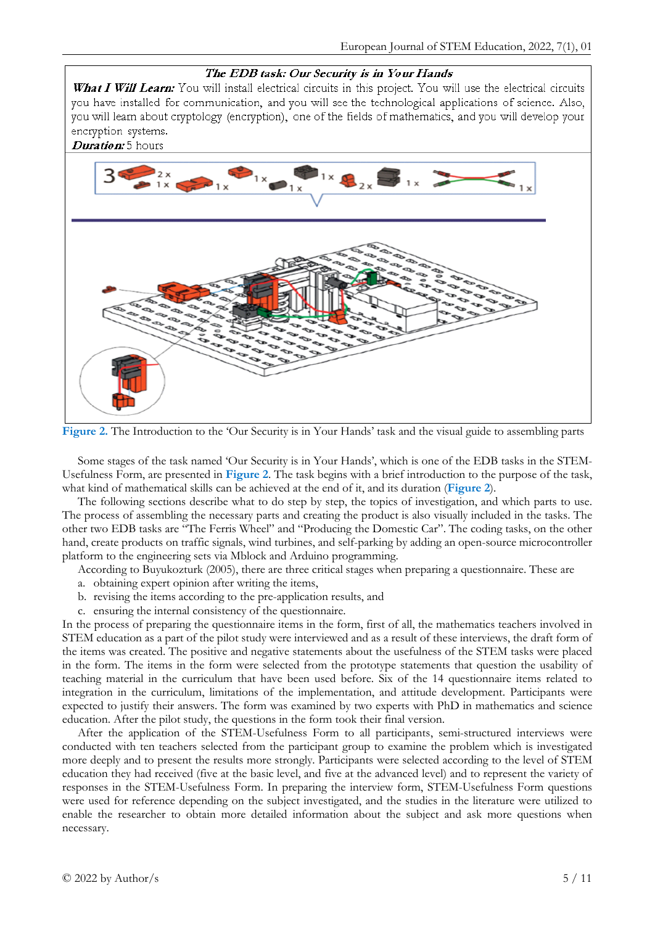

**Figure 2.** The Introduction to the 'Our Security is in Your Hands' task and the visual guide to assembling parts

Some stages of the task named 'Our Security is in Your Hands', which is one of the EDB tasks in the STEM-Usefulness Form, are presented in **Figure 2**. The task begins with a brief introduction to the purpose of the task, what kind of mathematical skills can be achieved at the end of it, and its duration (**Figure 2**).

The following sections describe what to do step by step, the topics of investigation, and which parts to use. The process of assembling the necessary parts and creating the product is also visually included in the tasks. The other two EDB tasks are "The Ferris Wheel" and "Producing the Domestic Car". The coding tasks, on the other hand, create products on traffic signals, wind turbines, and self-parking by adding an open-source microcontroller platform to the engineering sets via Mblock and Arduino programming.

According to Buyukozturk (2005), there are three critical stages when preparing a questionnaire. These are

- a. obtaining expert opinion after writing the items,
- b. revising the items according to the pre-application results, and
- c. ensuring the internal consistency of the questionnaire.

In the process of preparing the questionnaire items in the form, first of all, the mathematics teachers involved in STEM education as a part of the pilot study were interviewed and as a result of these interviews, the draft form of the items was created. The positive and negative statements about the usefulness of the STEM tasks were placed in the form. The items in the form were selected from the prototype statements that question the usability of teaching material in the curriculum that have been used before. Six of the 14 questionnaire items related to integration in the curriculum, limitations of the implementation, and attitude development. Participants were expected to justify their answers. The form was examined by two experts with PhD in mathematics and science education. After the pilot study, the questions in the form took their final version.

After the application of the STEM-Usefulness Form to all participants, semi-structured interviews were conducted with ten teachers selected from the participant group to examine the problem which is investigated more deeply and to present the results more strongly. Participants were selected according to the level of STEM education they had received (five at the basic level, and five at the advanced level) and to represent the variety of responses in the STEM-Usefulness Form. In preparing the interview form, STEM-Usefulness Form questions were used for reference depending on the subject investigated, and the studies in the literature were utilized to enable the researcher to obtain more detailed information about the subject and ask more questions when necessary.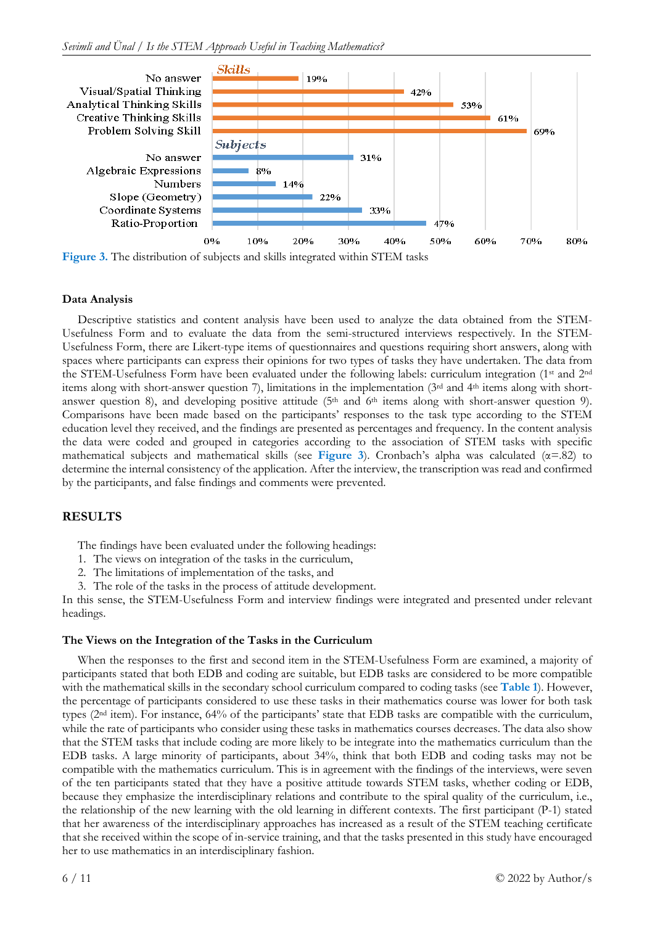

**Data Analysis**

Descriptive statistics and content analysis have been used to analyze the data obtained from the STEM-Usefulness Form and to evaluate the data from the semi-structured interviews respectively. In the STEM-Usefulness Form, there are Likert-type items of questionnaires and questions requiring short answers, along with spaces where participants can express their opinions for two types of tasks they have undertaken. The data from the STEM-Usefulness Form have been evaluated under the following labels: curriculum integration (1st and 2nd items along with short-answer question 7), limitations in the implementation (3rd and 4th items along with shortanswer question 8), and developing positive attitude (5<sup>th</sup> and 6<sup>th</sup> items along with short-answer question 9). Comparisons have been made based on the participants' responses to the task type according to the STEM education level they received, and the findings are presented as percentages and frequency. In the content analysis the data were coded and grouped in categories according to the association of STEM tasks with specific mathematical subjects and mathematical skills (see **Figure 3**). Cronbach's alpha was calculated (α=.82) to determine the internal consistency of the application. After the interview, the transcription was read and confirmed by the participants, and false findings and comments were prevented.

## **RESULTS**

The findings have been evaluated under the following headings:

- 1. The views on integration of the tasks in the curriculum,
- The limitations of implementation of the tasks, and
- 3. The role of the tasks in the process of attitude development.

In this sense, the STEM-Usefulness Form and interview findings were integrated and presented under relevant headings.

#### **The Views on the Integration of the Tasks in the Curriculum**

When the responses to the first and second item in the STEM-Usefulness Form are examined, a majority of participants stated that both EDB and coding are suitable, but EDB tasks are considered to be more compatible with the mathematical skills in the secondary school curriculum compared to coding tasks (see **Table 1**). However, the percentage of participants considered to use these tasks in their mathematics course was lower for both task types (2nd item). For instance, 64% of the participants' state that EDB tasks are compatible with the curriculum, while the rate of participants who consider using these tasks in mathematics courses decreases. The data also show that the STEM tasks that include coding are more likely to be integrate into the mathematics curriculum than the EDB tasks. A large minority of participants, about 34%, think that both EDB and coding tasks may not be compatible with the mathematics curriculum. This is in agreement with the findings of the interviews, were seven of the ten participants stated that they have a positive attitude towards STEM tasks, whether coding or EDB, because they emphasize the interdisciplinary relations and contribute to the spiral quality of the curriculum, i.e., the relationship of the new learning with the old learning in different contexts. The first participant (P-1) stated that her awareness of the interdisciplinary approaches has increased as a result of the STEM teaching certificate that she received within the scope of in-service training, and that the tasks presented in this study have encouraged her to use mathematics in an interdisciplinary fashion.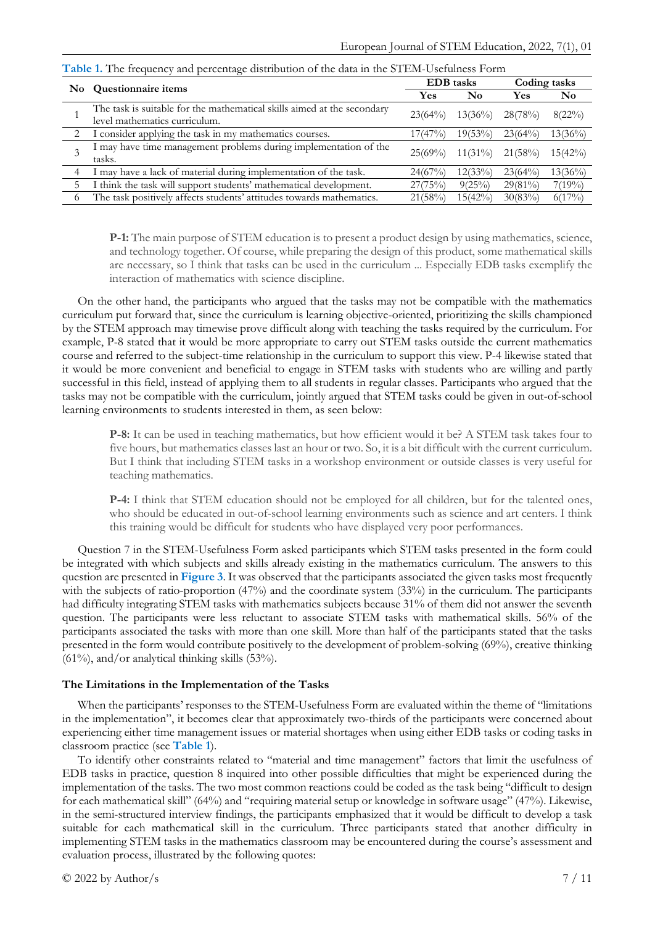|   | No Questionnaire items                                                                                   | <b>EDB</b> tasks |            | Coding tasks |                |
|---|----------------------------------------------------------------------------------------------------------|------------------|------------|--------------|----------------|
|   |                                                                                                          | Yes              | $\bf No$   | Yes          | N <sub>0</sub> |
|   | The task is suitable for the mathematical skills aimed at the secondary<br>level mathematics curriculum. | 23(64%)          | $13(36\%)$ | 28(78%)      | $8(22\%)$      |
|   | I consider applying the task in my mathematics courses.                                                  | 17(47%)          | $19(53\%)$ | 23(64%)      | $13(36\%)$     |
| 3 | I may have time management problems during implementation of the<br>tasks.                               | $25(69\%)$       | $11(31\%)$ | 21(58%)      | $15(42\%)$     |
| 4 | I may have a lack of material during implementation of the task.                                         | 24(67%)          | 12(33%)    | 23(64%)      | $13(36\%)$     |
|   | I think the task will support students' mathematical development.                                        | 27(75%)          | $9(25\%)$  | $29(81\%)$   | $7(19\%)$      |
| 6 | The task positively affects students' attitudes towards mathematics.                                     | 21(58%)          | 15(42%)    | $30(83\%)$   | $6(17\%)$      |

**Table 1.** The frequency and percentage distribution of the data in the STEM-Usefulness Form

**P-1:** The main purpose of STEM education is to present a product design by using mathematics, science, and technology together. Of course, while preparing the design of this product, some mathematical skills are necessary, so I think that tasks can be used in the curriculum ... Especially EDB tasks exemplify the interaction of mathematics with science discipline.

On the other hand, the participants who argued that the tasks may not be compatible with the mathematics curriculum put forward that, since the curriculum is learning objective-oriented, prioritizing the skills championed by the STEM approach may timewise prove difficult along with teaching the tasks required by the curriculum. For example, P-8 stated that it would be more appropriate to carry out STEM tasks outside the current mathematics course and referred to the subject-time relationship in the curriculum to support this view. P-4 likewise stated that it would be more convenient and beneficial to engage in STEM tasks with students who are willing and partly successful in this field, instead of applying them to all students in regular classes. Participants who argued that the tasks may not be compatible with the curriculum, jointly argued that STEM tasks could be given in out-of-school learning environments to students interested in them, as seen below:

**P-8:** It can be used in teaching mathematics, but how efficient would it be? A STEM task takes four to five hours, but mathematics classes last an hour or two. So, it is a bit difficult with the current curriculum. But I think that including STEM tasks in a workshop environment or outside classes is very useful for teaching mathematics.

**P-4:** I think that STEM education should not be employed for all children, but for the talented ones, who should be educated in out-of-school learning environments such as science and art centers. I think this training would be difficult for students who have displayed very poor performances.

Question 7 in the STEM-Usefulness Form asked participants which STEM tasks presented in the form could be integrated with which subjects and skills already existing in the mathematics curriculum. The answers to this question are presented in **Figure 3**. It was observed that the participants associated the given tasks most frequently with the subjects of ratio-proportion (47%) and the coordinate system (33%) in the curriculum. The participants had difficulty integrating STEM tasks with mathematics subjects because 31% of them did not answer the seventh question. The participants were less reluctant to associate STEM tasks with mathematical skills. 56% of the participants associated the tasks with more than one skill. More than half of the participants stated that the tasks presented in the form would contribute positively to the development of problem-solving (69%), creative thinking  $(61\%)$ , and/or analytical thinking skills  $(53\%)$ .

#### **The Limitations in the Implementation of the Tasks**

When the participants' responses to the STEM-Usefulness Form are evaluated within the theme of "limitations in the implementation", it becomes clear that approximately two-thirds of the participants were concerned about experiencing either time management issues or material shortages when using either EDB tasks or coding tasks in classroom practice (see **Table 1**).

To identify other constraints related to "material and time management" factors that limit the usefulness of EDB tasks in practice, question 8 inquired into other possible difficulties that might be experienced during the implementation of the tasks. The two most common reactions could be coded as the task being "difficult to design for each mathematical skill" (64%) and "requiring material setup or knowledge in software usage" (47%). Likewise, in the semi-structured interview findings, the participants emphasized that it would be difficult to develop a task suitable for each mathematical skill in the curriculum. Three participants stated that another difficulty in implementing STEM tasks in the mathematics classroom may be encountered during the course's assessment and evaluation process, illustrated by the following quotes: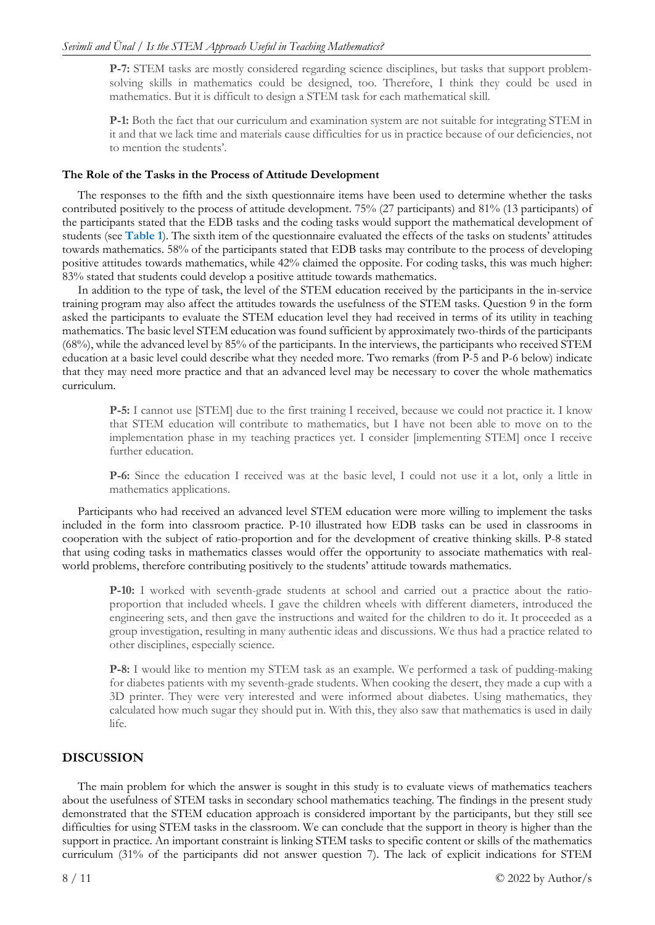**P-7:** STEM tasks are mostly considered regarding science disciplines, but tasks that support problemsolving skills in mathematics could be designed, too. Therefore, I think they could be used in mathematics. But it is difficult to design a STEM task for each mathematical skill.

**P-1:** Both the fact that our curriculum and examination system are not suitable for integrating STEM in it and that we lack time and materials cause difficulties for us in practice because of our deficiencies, not to mention the students'.

#### **The Role of the Tasks in the Process of Attitude Development**

The responses to the fifth and the sixth questionnaire items have been used to determine whether the tasks contributed positively to the process of attitude development. 75% (27 participants) and 81% (13 participants) of the participants stated that the EDB tasks and the coding tasks would support the mathematical development of students (see **Table 1**). The sixth item of the questionnaire evaluated the effects of the tasks on students' attitudes towards mathematics. 58% of the participants stated that EDB tasks may contribute to the process of developing positive attitudes towards mathematics, while 42% claimed the opposite. For coding tasks, this was much higher: 83% stated that students could develop a positive attitude towards mathematics.

In addition to the type of task, the level of the STEM education received by the participants in the in-service training program may also affect the attitudes towards the usefulness of the STEM tasks. Question 9 in the form asked the participants to evaluate the STEM education level they had received in terms of its utility in teaching mathematics. The basic level STEM education was found sufficient by approximately two-thirds of the participants (68%), while the advanced level by 85% of the participants. In the interviews, the participants who received STEM education at a basic level could describe what they needed more. Two remarks (from P-5 and P-6 below) indicate that they may need more practice and that an advanced level may be necessary to cover the whole mathematics curriculum.

**P-5:** I cannot use [STEM] due to the first training I received, because we could not practice it. I know that STEM education will contribute to mathematics, but I have not been able to move on to the implementation phase in my teaching practices yet. I consider [implementing STEM] once I receive further education.

**P-6:** Since the education I received was at the basic level, I could not use it a lot, only a little in mathematics applications.

Participants who had received an advanced level STEM education were more willing to implement the tasks included in the form into classroom practice. P-10 illustrated how EDB tasks can be used in classrooms in cooperation with the subject of ratio-proportion and for the development of creative thinking skills. P-8 stated that using coding tasks in mathematics classes would offer the opportunity to associate mathematics with realworld problems, therefore contributing positively to the students' attitude towards mathematics.

**P-10:** I worked with seventh-grade students at school and carried out a practice about the ratioproportion that included wheels. I gave the children wheels with different diameters, introduced the engineering sets, and then gave the instructions and waited for the children to do it. It proceeded as a group investigation, resulting in many authentic ideas and discussions. We thus had a practice related to other disciplines, especially science.

**P-8:** I would like to mention my STEM task as an example. We performed a task of pudding-making for diabetes patients with my seventh-grade students. When cooking the desert, they made a cup with a 3D printer. They were very interested and were informed about diabetes. Using mathematics, they calculated how much sugar they should put in. With this, they also saw that mathematics is used in daily life.

## **DISCUSSION**

The main problem for which the answer is sought in this study is to evaluate views of mathematics teachers about the usefulness of STEM tasks in secondary school mathematics teaching. The findings in the present study demonstrated that the STEM education approach is considered important by the participants, but they still see difficulties for using STEM tasks in the classroom. We can conclude that the support in theory is higher than the support in practice. An important constraint is linking STEM tasks to specific content or skills of the mathematics curriculum (31% of the participants did not answer question 7). The lack of explicit indications for STEM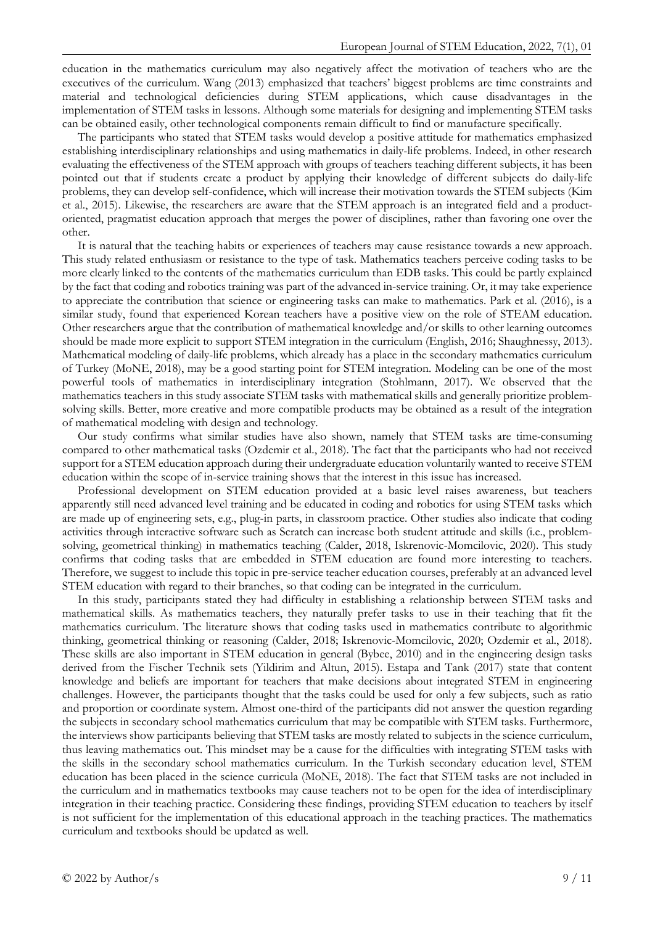education in the mathematics curriculum may also negatively affect the motivation of teachers who are the executives of the curriculum. Wang (2013) emphasized that teachers' biggest problems are time constraints and material and technological deficiencies during STEM applications, which cause disadvantages in the implementation of STEM tasks in lessons. Although some materials for designing and implementing STEM tasks can be obtained easily, other technological components remain difficult to find or manufacture specifically.

The participants who stated that STEM tasks would develop a positive attitude for mathematics emphasized establishing interdisciplinary relationships and using mathematics in daily-life problems. Indeed, in other research evaluating the effectiveness of the STEM approach with groups of teachers teaching different subjects, it has been pointed out that if students create a product by applying their knowledge of different subjects do daily-life problems, they can develop self-confidence, which will increase their motivation towards the STEM subjects (Kim et al., 2015). Likewise, the researchers are aware that the STEM approach is an integrated field and a productoriented, pragmatist education approach that merges the power of disciplines, rather than favoring one over the other.

It is natural that the teaching habits or experiences of teachers may cause resistance towards a new approach. This study related enthusiasm or resistance to the type of task. Mathematics teachers perceive coding tasks to be more clearly linked to the contents of the mathematics curriculum than EDB tasks. This could be partly explained by the fact that coding and robotics training was part of the advanced in-service training. Or, it may take experience to appreciate the contribution that science or engineering tasks can make to mathematics. Park et al. (2016), is a similar study, found that experienced Korean teachers have a positive view on the role of STEAM education. Other researchers argue that the contribution of mathematical knowledge and/or skills to other learning outcomes should be made more explicit to support STEM integration in the curriculum (English, 2016; Shaughnessy, 2013). Mathematical modeling of daily-life problems, which already has a place in the secondary mathematics curriculum of Turkey (MoNE, 2018), may be a good starting point for STEM integration. Modeling can be one of the most powerful tools of mathematics in interdisciplinary integration (Stohlmann, 2017). We observed that the mathematics teachers in this study associate STEM tasks with mathematical skills and generally prioritize problemsolving skills. Better, more creative and more compatible products may be obtained as a result of the integration of mathematical modeling with design and technology.

Our study confirms what similar studies have also shown, namely that STEM tasks are time-consuming compared to other mathematical tasks (Ozdemir et al., 2018). The fact that the participants who had not received support for a STEM education approach during their undergraduate education voluntarily wanted to receive STEM education within the scope of in-service training shows that the interest in this issue has increased.

Professional development on STEM education provided at a basic level raises awareness, but teachers apparently still need advanced level training and be educated in coding and robotics for using STEM tasks which are made up of engineering sets, e.g., plug-in parts, in classroom practice. Other studies also indicate that coding activities through interactive software such as Scratch can increase both student attitude and skills (i.e., problemsolving, geometrical thinking) in mathematics teaching (Calder, 2018, Iskrenovic-Momcilovic, 2020). This study confirms that coding tasks that are embedded in STEM education are found more interesting to teachers. Therefore, we suggest to include this topic in pre-service teacher education courses, preferably at an advanced level STEM education with regard to their branches, so that coding can be integrated in the curriculum.

In this study, participants stated they had difficulty in establishing a relationship between STEM tasks and mathematical skills. As mathematics teachers, they naturally prefer tasks to use in their teaching that fit the mathematics curriculum. The literature shows that coding tasks used in mathematics contribute to algorithmic thinking, geometrical thinking or reasoning (Calder, 2018; Iskrenovic-Momcilovic, 2020; Ozdemir et al., 2018). These skills are also important in STEM education in general (Bybee, 2010) and in the engineering design tasks derived from the Fischer Technik sets (Yildirim and Altun, 2015). Estapa and Tank (2017) state that content knowledge and beliefs are important for teachers that make decisions about integrated STEM in engineering challenges. However, the participants thought that the tasks could be used for only a few subjects, such as ratio and proportion or coordinate system. Almost one-third of the participants did not answer the question regarding the subjects in secondary school mathematics curriculum that may be compatible with STEM tasks. Furthermore, the interviews show participants believing that STEM tasks are mostly related to subjects in the science curriculum, thus leaving mathematics out. This mindset may be a cause for the difficulties with integrating STEM tasks with the skills in the secondary school mathematics curriculum. In the Turkish secondary education level, STEM education has been placed in the science curricula (MoNE, 2018). The fact that STEM tasks are not included in the curriculum and in mathematics textbooks may cause teachers not to be open for the idea of interdisciplinary integration in their teaching practice. Considering these findings, providing STEM education to teachers by itself is not sufficient for the implementation of this educational approach in the teaching practices. The mathematics curriculum and textbooks should be updated as well.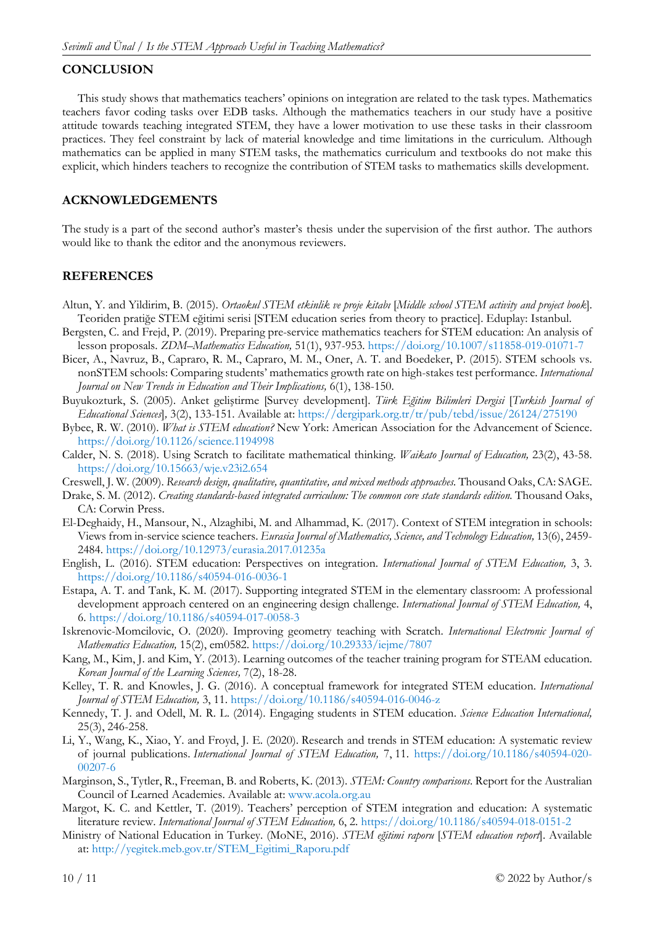## **CONCLUSION**

This study shows that mathematics teachers' opinions on integration are related to the task types. Mathematics teachers favor coding tasks over EDB tasks. Although the mathematics teachers in our study have a positive attitude towards teaching integrated STEM, they have a lower motivation to use these tasks in their classroom practices. They feel constraint by lack of material knowledge and time limitations in the curriculum. Although mathematics can be applied in many STEM tasks, the mathematics curriculum and textbooks do not make this explicit, which hinders teachers to recognize the contribution of STEM tasks to mathematics skills development.

## **ACKNOWLEDGEMENTS**

The study is a part of the second author's master's thesis under the supervision of the first author. The authors would like to thank the editor and the anonymous reviewers.

## **REFERENCES**

- Altun, Y. and Yildirim, B. (2015). *Ortaokul STEM etkinlik ve proje kitabı* [*Middle school STEM activity and project book*]. Teoriden pratiğe STEM eğitimi serisi [STEM education series from theory to practice]. Eduplay: Istanbul.
- Bergsten, C. and Frejd, P. (2019). Preparing pre-service mathematics teachers for STEM education: An analysis of lesson proposals. *ZDM–Mathematics Education,* 51(1), 937-953. <https://doi.org/10.1007/s11858-019-01071-7>
- Bicer, A., Navruz, B., Capraro, R. M., Capraro, M. M., Oner, A. T. and Boedeker, P. (2015). STEM schools vs. nonSTEM schools: Comparing students' mathematics growth rate on high-stakes test performance. *International Journal on New Trends in Education and Their Implications,* 6(1), 138-150.
- Buyukozturk, S. (2005). Anket geliştirme [Survey development]. *Türk Eğitim Bilimleri Dergisi* [*Turkish Journal of Educational Sciences*]*,* 3(2), 133-151. Available at:<https://dergipark.org.tr/tr/pub/tebd/issue/26124/275190>
- Bybee, R. W. (2010). *What is STEM education?* New York: American Association for the Advancement of Science. <https://doi.org/10.1126/science.1194998>
- Calder, N. S. (2018). Using Scratch to facilitate mathematical thinking. *Waikato Journal of Education,* 23(2), 43-58. <https://doi.org/10.15663/wje.v23i2.654>
- Creswell, J. W. (2009). *Research design, qualitative, quantitative, and mixed methods approaches.* Thousand Oaks, CA: SAGE.
- Drake, S. M. (2012). *Creating standards-based integrated curriculum: The common core state standards edition.* Thousand Oaks, CA: Corwin Press.
- El-Deghaidy, H., Mansour, N., Alzaghibi, M. and Alhammad, K. (2017). Context of STEM integration in schools: Views from in-service science teachers. *Eurasia Journal of Mathematics, Science, and Technology Education,* 13(6), 2459- 2484. <https://doi.org/10.12973/eurasia.2017.01235a>
- English, L. (2016). STEM education: Perspectives on integration. *International Journal of STEM Education,* 3, 3. <https://doi.org/10.1186/s40594-016-0036-1>
- Estapa, A. T. and Tank, K. M. (2017). Supporting integrated STEM in the elementary classroom: A professional development approach centered on an engineering design challenge. *International Journal of STEM Education,* 4, 6. <https://doi.org/10.1186/s40594-017-0058-3>
- Iskrenovic-Momcilovic, O. (2020). Improving geometry teaching with Scratch. *International Electronic Journal of Mathematics Education,* 15(2), em0582.<https://doi.org/10.29333/iejme/7807>
- Kang, M., Kim, J. and Kim, Y. (2013). Learning outcomes of the teacher training program for STEAM education. *Korean Journal of the Learning Sciences,* 7(2), 18-28.
- Kelley, T. R. and Knowles, J. G. (2016). A conceptual framework for integrated STEM education. *International Journal of STEM Education,* 3, 11. <https://doi.org/10.1186/s40594-016-0046-z>
- Kennedy, T. J. and Odell, M. R. L. (2014). Engaging students in STEM education. *Science Education International,*  25(3), 246-258.
- Li, Y., Wang, K., Xiao, Y. and Froyd, J. E. (2020). Research and trends in STEM education: A systematic review of journal publications. *International Journal of STEM Education,* 7, 11. [https://doi.org/10.1186/s40594-020-](https://doi.org/10.1186/s40594-020-00207-6) [00207-6](https://doi.org/10.1186/s40594-020-00207-6)
- Marginson, S., Tytler, R., Freeman, B. and Roberts, K. (2013). *STEM: Country comparisons*. Report for the Australian Council of Learned Academies. Available at: [www.acola.org.au](http://www.acola.org.au/)
- Margot, K. C. and Kettler, T. (2019). Teachers' perception of STEM integration and education: A systematic literature review. *International Journal of STEM Education,* 6, 2. <https://doi.org/10.1186/s40594-018-0151-2>
- Ministry of National Education in Turkey. (MoNE, 2016). *STEM eğitimi raporu* [*STEM education report*]. Available at: [http://yegitek.meb.gov.tr/STEM\\_Egitimi\\_Raporu.pdf](http://yegitek.meb.gov.tr/STEM_Egitimi_Raporu.pdf)